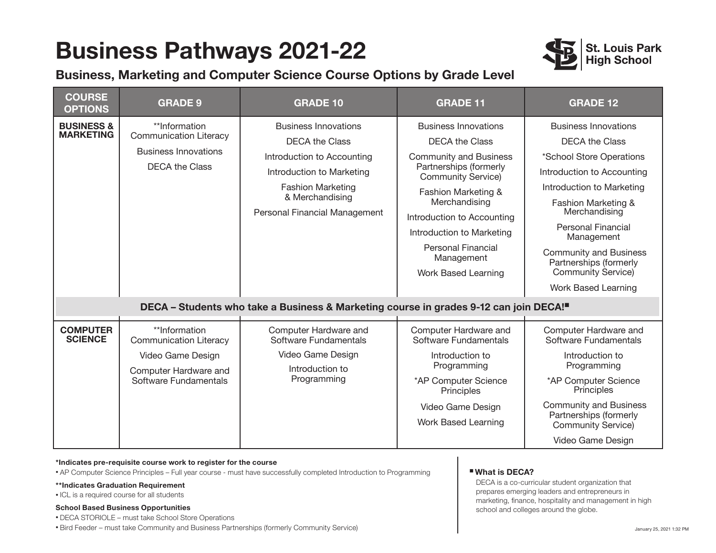## **Business Pathways 2021-22**





| <b>COURSE</b><br><b>OPTIONS</b>           | <b>GRADE 9</b>                                                                                                        | <b>GRADE 10</b>                                                                                                                                                                                                                                                                          | <b>GRADE 11</b>                                                                                                                                                                                                                                                                                                    | <b>GRADE 12</b>                                                                                                                                                                                                                                                                                                                               |
|-------------------------------------------|-----------------------------------------------------------------------------------------------------------------------|------------------------------------------------------------------------------------------------------------------------------------------------------------------------------------------------------------------------------------------------------------------------------------------|--------------------------------------------------------------------------------------------------------------------------------------------------------------------------------------------------------------------------------------------------------------------------------------------------------------------|-----------------------------------------------------------------------------------------------------------------------------------------------------------------------------------------------------------------------------------------------------------------------------------------------------------------------------------------------|
| <b>BUSINESS &amp;</b><br><b>MARKETING</b> | **Information<br><b>Communication Literacy</b><br><b>Business Innovations</b><br><b>DECA the Class</b>                | <b>Business Innovations</b><br><b>DECA the Class</b><br>Introduction to Accounting<br>Introduction to Marketing<br><b>Fashion Marketing</b><br>& Merchandising<br>Personal Financial Management<br>DECA - Students who take a Business & Marketing course in grades 9-12 can join DECA!" | <b>Business Innovations</b><br><b>DECA the Class</b><br><b>Community and Business</b><br>Partnerships (formerly<br><b>Community Service</b> )<br>Fashion Marketing &<br>Merchandising<br>Introduction to Accounting<br>Introduction to Marketing<br><b>Personal Financial</b><br>Management<br>Work Based Learning | <b>Business Innovations</b><br><b>DECA the Class</b><br>*School Store Operations<br>Introduction to Accounting<br>Introduction to Marketing<br>Fashion Marketing &<br>Merchandising<br><b>Personal Financial</b><br>Management<br><b>Community and Business</b><br>Partnerships (formerly<br><b>Community Service)</b><br>Work Based Learning |
| <b>COMPUTER</b><br><b>SCIENCE</b>         | **Information<br><b>Communication Literacy</b><br>Video Game Design<br>Computer Hardware and<br>Software Fundamentals | Computer Hardware and<br>Software Fundamentals<br>Video Game Design<br>Introduction to<br>Programming                                                                                                                                                                                    | Computer Hardware and<br>Software Fundamentals<br>Introduction to<br>Programming<br>*AP Computer Science<br>Principles<br>Video Game Design<br><b>Work Based Learning</b>                                                                                                                                          | Computer Hardware and<br>Software Fundamentals<br>Introduction to<br>Programming<br>*AP Computer Science<br>Principles<br><b>Community and Business</b><br>Partnerships (formerly<br><b>Community Service)</b><br>Video Game Design                                                                                                           |

#### **\*Indicates pre-requisite course work to register for the course**

• AP Computer Science Principles – Full year course - must have successfully completed Introduction to Programming

#### **\*\*Indicates Graduation Requirement**

• ICL is a required course for all students

#### **School Based Business Opportunities**

• DECA STORIOLE – must take School Store Operations

• Bird Feeder – must take Community and Business Partnerships (formerly Community Service)

### n **What is DECA?**

DECA is a co-curricular student organization that prepares emerging leaders and entrepreneurs in marketing, finance, hospitality and management in high school and colleges around the globe.